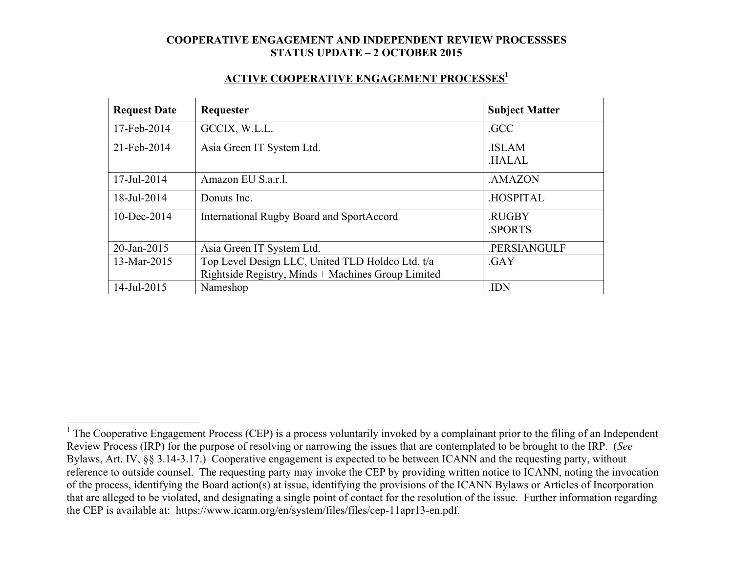#### **ACTIVE COOPERATIVE ENGAGEMENT PROCESSES1**

| <b>Request Date</b> | Requester                                                                                              | <b>Subject Matter</b>        |
|---------------------|--------------------------------------------------------------------------------------------------------|------------------------------|
| 17-Feb-2014         | GCCIX, W.L.L.                                                                                          | .GCC                         |
| 21-Feb-2014         | Asia Green IT System Ltd.                                                                              | <b>ISLAM</b><br><b>HALAL</b> |
| 17-Jul-2014         | Amazon EU S.a.r.l.                                                                                     | .AMAZON                      |
| 18-Jul-2014         | Donuts Inc.                                                                                            | .HOSPITAL                    |
| $10$ -Dec-2014      | <b>International Rugby Board and SportAccord</b>                                                       | .RUGBY<br><b>SPORTS</b>      |
| 20-Jan-2015         | Asia Green IT System Ltd.                                                                              | .PERSIANGULF                 |
| 13-Mar-2015         | Top Level Design LLC, United TLD Holdco Ltd. t/a<br>Rightside Registry, Minds + Machines Group Limited | .GAY                         |
| 14-Jul-2015         | Nameshop                                                                                               | .IDN                         |

<sup>&</sup>lt;sup>1</sup> The Cooperative Engagement Process (CEP) is a process voluntarily invoked by a complainant prior to the filing of an Independent Review Process (IRP) for the purpose of resolving or narrowing the issues that are contemplated to be brought to the IRP. (*See* Bylaws, Art. IV, §§ 3.14-3.17.) Cooperative engagement is expected to be between ICANN and the requesting party, without reference to outside counsel. The requesting party may invoke the CEP by providing written notice to ICANN, noting the invocation of the process, identifying the Board action(s) at issue, identifying the provisions of the ICANN Bylaws or Articles of Incorporation that are alleged to be violated, and designating a single point of contact for the resolution of the issue. Further information regarding the CEP is available at: https://www.icann.org/en/system/files/files/cep-11apr13-en.pdf.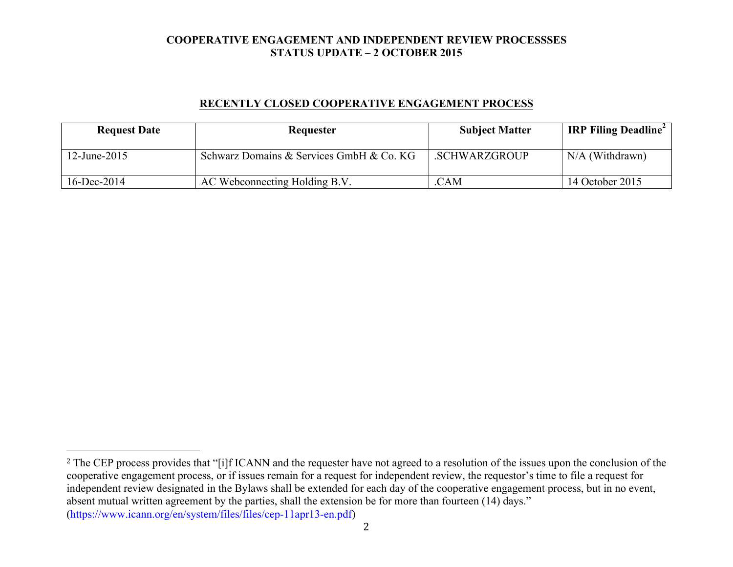### **RECENTLY CLOSED COOPERATIVE ENGAGEMENT PROCESS**

| <b>Request Date</b> | Requester                                | <b>Subject Matter</b> | <b>IRP Filing Deadline</b> |
|---------------------|------------------------------------------|-----------------------|----------------------------|
| 12-June-2015        | Schwarz Domains & Services GmbH & Co. KG | .SCHWARZGROUP         | $N/A$ (Withdrawn)          |
| $16$ -Dec-2014      | AC Webconnecting Holding B.V.            | .CAM                  | 14 October 2015            |

 

<sup>&</sup>lt;sup>2</sup> The CEP process provides that "[i]f ICANN and the requester have not agreed to a resolution of the issues upon the conclusion of the cooperative engagement process, or if issues remain for a request for independent review, the requestor's time to file a request for independent review designated in the Bylaws shall be extended for each day of the cooperative engagement process, but in no event, absent mutual written agreement by the parties, shall the extension be for more than fourteen (14) days." (https://www.icann.org/en/system/files/files/cep-11apr13-en.pdf)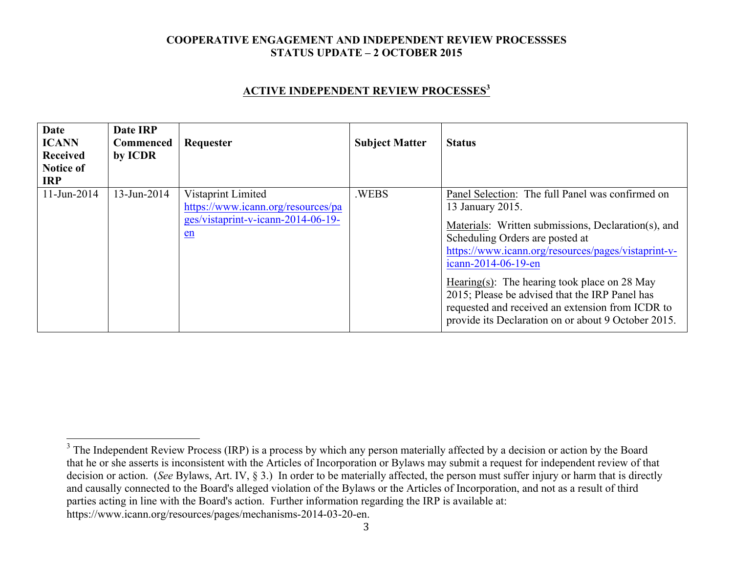### **ACTIVE INDEPENDENT REVIEW PROCESSES<sup>3</sup>**

| <b>Date</b><br><b>ICANN</b><br><b>Received</b><br><b>Notice of</b><br><b>IRP</b> | Date IRP<br><b>Commenced</b><br>by ICDR | Requester                                                                                              | <b>Subject Matter</b> | <b>Status</b>                                                                                                                                                                                                                                                                                                                                                                                                                                             |
|----------------------------------------------------------------------------------|-----------------------------------------|--------------------------------------------------------------------------------------------------------|-----------------------|-----------------------------------------------------------------------------------------------------------------------------------------------------------------------------------------------------------------------------------------------------------------------------------------------------------------------------------------------------------------------------------------------------------------------------------------------------------|
| $11$ -Jun-2014                                                                   | 13-Jun-2014                             | Vistaprint Limited<br>https://www.icann.org/resources/pa<br>ges/vistaprint-v-icann-2014-06-19-<br>$en$ | .WEBS                 | Panel Selection: The full Panel was confirmed on<br>13 January 2015.<br>Materials: Written submissions, Declaration(s), and<br>Scheduling Orders are posted at<br>https://www.icann.org/resources/pages/vistaprint-v-<br>icann-2014-06-19-en<br>Hearing(s): The hearing took place on 28 May<br>2015; Please be advised that the IRP Panel has<br>requested and received an extension from ICDR to<br>provide its Declaration on or about 9 October 2015. |

3

<sup>&</sup>lt;sup>3</sup> The Independent Review Process (IRP) is a process by which any person materially affected by a decision or action by the Board that he or she asserts is inconsistent with the Articles of Incorporation or Bylaws may submit a request for independent review of that decision or action. (*See* Bylaws, Art. IV, § 3.) In order to be materially affected, the person must suffer injury or harm that is directly and causally connected to the Board's alleged violation of the Bylaws or the Articles of Incorporation, and not as a result of third parties acting in line with the Board's action. Further information regarding the IRP is available at: https://www.icann.org/resources/pages/mechanisms-2014-03-20-en.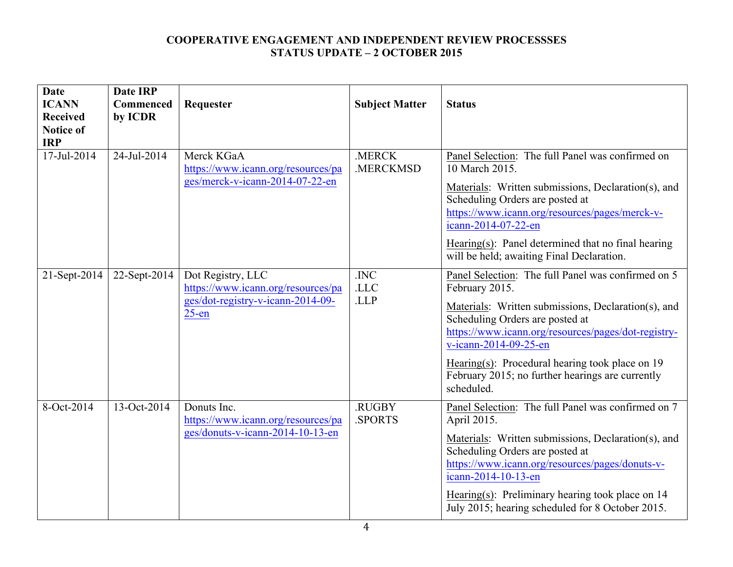| <b>Date</b>                    | <b>Date IRP</b> |                                                                                                          |                       |                                                                                                                                                                                                                                                                                                                                                                       |
|--------------------------------|-----------------|----------------------------------------------------------------------------------------------------------|-----------------------|-----------------------------------------------------------------------------------------------------------------------------------------------------------------------------------------------------------------------------------------------------------------------------------------------------------------------------------------------------------------------|
| <b>ICANN</b>                   | Commenced       | Requester                                                                                                | <b>Subject Matter</b> | <b>Status</b>                                                                                                                                                                                                                                                                                                                                                         |
| <b>Received</b>                | by ICDR         |                                                                                                          |                       |                                                                                                                                                                                                                                                                                                                                                                       |
| <b>Notice of</b><br><b>IRP</b> |                 |                                                                                                          |                       |                                                                                                                                                                                                                                                                                                                                                                       |
| 17-Jul-2014                    | 24-Jul-2014     | Merck KGaA<br>https://www.icann.org/resources/pa<br>ges/merck-v-icann-2014-07-22-en                      | .MERCK<br>.MERCKMSD   | Panel Selection: The full Panel was confirmed on<br>10 March 2015.<br>Materials: Written submissions, Declaration(s), and<br>Scheduling Orders are posted at<br>https://www.icann.org/resources/pages/merck-v-<br>icann-2014-07-22-en<br>Hearing(s): Panel determined that no final hearing<br>will be held; awaiting Final Declaration.                              |
| 21-Sept-2014                   | 22-Sept-2014    | Dot Registry, LLC<br>https://www.icann.org/resources/pa<br>ges/dot-registry-v-icann-2014-09-<br>$25$ -en | .INC<br>.LLC<br>.LLP  | Panel Selection: The full Panel was confirmed on 5<br>February 2015.<br>Materials: Written submissions, Declaration(s), and<br>Scheduling Orders are posted at<br>https://www.icann.org/resources/pages/dot-registry-<br>v-icann-2014-09-25-en<br>Hearing(s): Procedural hearing took place on $19$<br>February 2015; no further hearings are currently<br>scheduled. |
| 8-Oct-2014                     | 13-Oct-2014     | Donuts Inc.<br>https://www.icann.org/resources/pa<br>ges/donuts-v-icann-2014-10-13-en                    | .RUGBY<br>.SPORTS     | Panel Selection: The full Panel was confirmed on 7<br>April 2015.<br>Materials: Written submissions, Declaration(s), and<br>Scheduling Orders are posted at<br>https://www.icann.org/resources/pages/donuts-v-<br>icann-2014-10-13-en<br>Hearing(s): Preliminary hearing took place on $14$<br>July 2015; hearing scheduled for 8 October 2015.                       |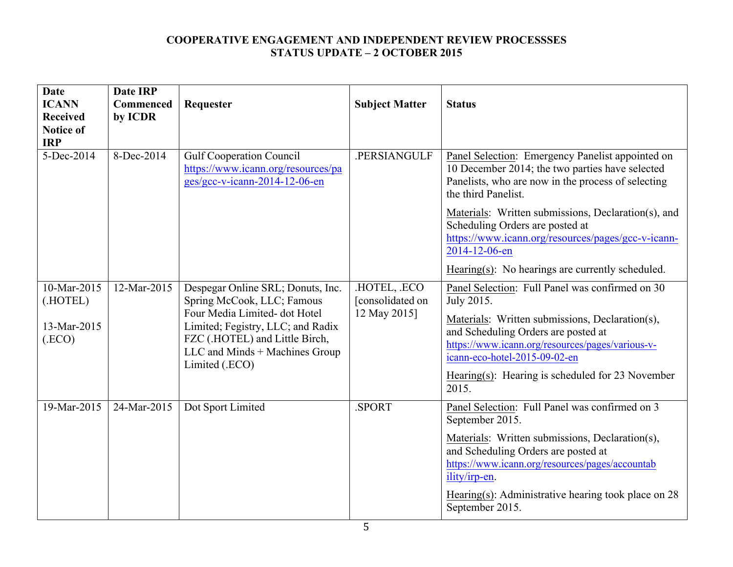| <b>Date</b><br><b>ICANN</b><br><b>Received</b><br><b>Notice of</b><br><b>IRP</b> | <b>Date IRP</b><br>Commenced<br>by ICDR | Requester                                                                                                                                                                                                                  | <b>Subject Matter</b>                          | <b>Status</b>                                                                                                                                                                                                                                                                                             |
|----------------------------------------------------------------------------------|-----------------------------------------|----------------------------------------------------------------------------------------------------------------------------------------------------------------------------------------------------------------------------|------------------------------------------------|-----------------------------------------------------------------------------------------------------------------------------------------------------------------------------------------------------------------------------------------------------------------------------------------------------------|
| 5-Dec-2014                                                                       | 8-Dec-2014                              | <b>Gulf Cooperation Council</b><br>https://www.icann.org/resources/pa<br>ges/gcc-v-icann-2014-12-06-en                                                                                                                     | .PERSIANGULF                                   | Panel Selection: Emergency Panelist appointed on<br>10 December 2014; the two parties have selected<br>Panelists, who are now in the process of selecting<br>the third Panelist.                                                                                                                          |
|                                                                                  |                                         |                                                                                                                                                                                                                            |                                                | Materials: Written submissions, Declaration(s), and<br>Scheduling Orders are posted at<br>https://www.icann.org/resources/pages/gcc-v-icann-<br>2014-12-06-en                                                                                                                                             |
|                                                                                  |                                         |                                                                                                                                                                                                                            |                                                | Hearing(s): No hearings are currently scheduled.                                                                                                                                                                                                                                                          |
| 10-Mar-2015<br>(.HOTEL)<br>13-Mar-2015<br>(ECO)                                  | 12-Mar-2015                             | Despegar Online SRL; Donuts, Inc.<br>Spring McCook, LLC; Famous<br>Four Media Limited-dot Hotel<br>Limited; Fegistry, LLC; and Radix<br>FZC (.HOTEL) and Little Birch,<br>LLC and Minds + Machines Group<br>Limited (.ECO) | HOTEL, ECO<br>[consolidated on<br>12 May 2015] | Panel Selection: Full Panel was confirmed on 30<br>July 2015.<br>Materials: Written submissions, Declaration(s),<br>and Scheduling Orders are posted at<br>https://www.icann.org/resources/pages/various-v-<br>icann-eco-hotel-2015-09-02-en<br>Hearing(s): Hearing is scheduled for 23 November<br>2015. |
| $19$ -Mar-2015                                                                   | 24-Mar-2015                             | Dot Sport Limited                                                                                                                                                                                                          | .SPORT                                         | Panel Selection: Full Panel was confirmed on 3<br>September 2015.<br>Materials: Written submissions, Declaration(s),<br>and Scheduling Orders are posted at<br>https://www.icann.org/resources/pages/accountab<br>ility/irp-en.<br>Hearing(s): Administrative hearing took place on 28<br>September 2015. |